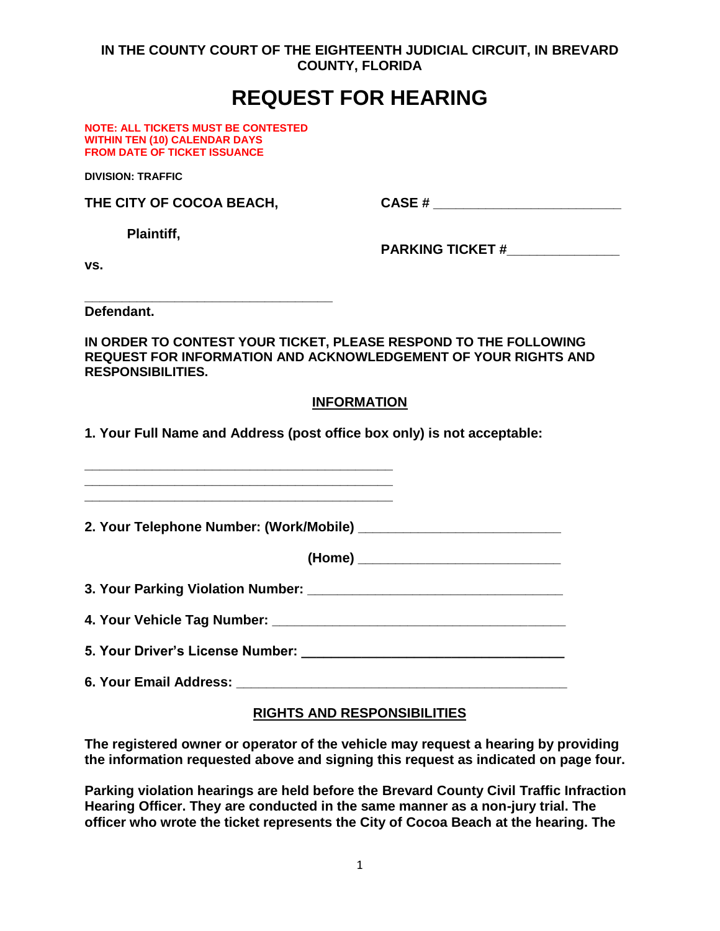## **IN THE COUNTY COURT OF THE EIGHTEENTH JUDICIAL CIRCUIT, IN BREVARD COUNTY, FLORIDA**

## **REQUEST FOR HEARING**

**NOTE: ALL TICKETS MUST BE CONTESTED WITHIN TEN (10) CALENDAR DAYS FROM DATE OF TICKET ISSUANCE** 

**\_\_\_\_\_\_\_\_\_\_\_\_\_\_\_\_\_\_\_\_\_\_\_\_\_\_\_\_\_\_\_\_\_** 

**DIVISION: TRAFFIC**

**THE CITY OF COCOA BEACH, CASE # \_\_\_\_\_\_\_\_\_\_\_\_\_\_\_\_\_\_\_\_\_\_\_\_\_** 

**Plaintiff,** 

**PARKING TICKET #\_\_\_\_\_\_\_\_\_\_\_\_\_\_\_** 

**vs.** 

**Defendant.** 

**IN ORDER TO CONTEST YOUR TICKET, PLEASE RESPOND TO THE FOLLOWING REQUEST FOR INFORMATION AND ACKNOWLEDGEMENT OF YOUR RIGHTS AND RESPONSIBILITIES.** 

## **INFORMATION**

**1. Your Full Name and Address (post office box only) is not acceptable:** 

| 2. Your Telephone Number: (Work/Mobile) _____________________________ |  |
|-----------------------------------------------------------------------|--|
|                                                                       |  |
|                                                                       |  |
|                                                                       |  |
|                                                                       |  |
|                                                                       |  |

## **RIGHTS AND RESPONSIBILITIES**

**The registered owner or operator of the vehicle may request a hearing by providing the information requested above and signing this request as indicated on page four.** 

**Parking violation hearings are held before the Brevard County Civil Traffic Infraction Hearing Officer. They are conducted in the same manner as a non-jury trial. The officer who wrote the ticket represents the City of Cocoa Beach at the hearing. The**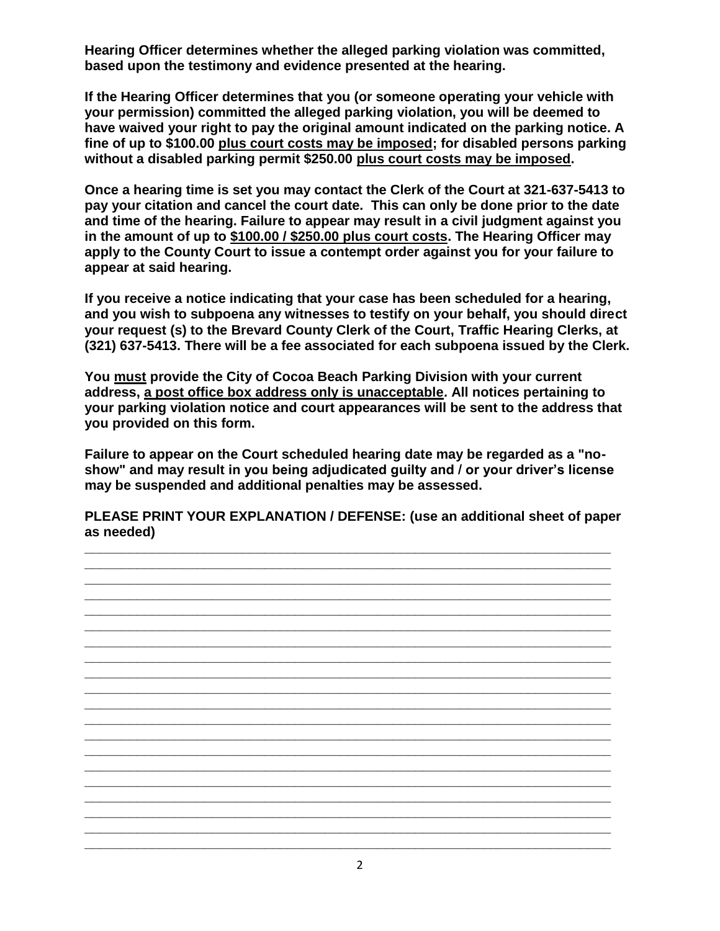**Hearing Officer determines whether the alleged parking violation was committed, based upon the testimony and evidence presented at the hearing.** 

**If the Hearing Officer determines that you (or someone operating your vehicle with your permission) committed the alleged parking violation, you will be deemed to have waived your right to pay the original amount indicated on the parking notice. A fine of up to \$100.00 plus court costs may be imposed; for disabled persons parking without a disabled parking permit \$250.00 plus court costs may be imposed.**

**Once a hearing time is set you may contact the Clerk of the Court at 321-637-5413 to pay your citation and cancel the court date. This can only be done prior to the date and time of the hearing. Failure to appear may result in a civil judgment against you in the amount of up to \$100.00 / \$250.00 plus court costs. The Hearing Officer may apply to the County Court to issue a contempt order against you for your failure to appear at said hearing.** 

**If you receive a notice indicating that your case has been scheduled for a hearing, and you wish to subpoena any witnesses to testify on your behalf, you should direct your request (s) to the Brevard County Clerk of the Court, Traffic Hearing Clerks, at (321) 637-5413. There will be a fee associated for each subpoena issued by the Clerk.** 

**You must provide the City of Cocoa Beach Parking Division with your current address, a post office box address only is unacceptable. All notices pertaining to your parking violation notice and court appearances will be sent to the address that you provided on this form.** 

**Failure to appear on the Court scheduled hearing date may be regarded as a "noshow" and may result in you being adjudicated guilty and / or your driver's license may be suspended and additional penalties may be assessed.** 

**PLEASE PRINT YOUR EXPLANATION / DEFENSE: (use an additional sheet of paper as needed)**

**\_\_\_\_\_\_\_\_\_\_\_\_\_\_\_\_\_\_\_\_\_\_\_\_\_\_\_\_\_\_\_\_\_\_\_\_\_\_\_\_\_\_\_\_\_\_\_\_\_\_\_\_\_\_\_\_\_\_\_\_\_\_\_\_\_\_\_\_\_\_ \_\_\_\_\_\_\_\_\_\_\_\_\_\_\_\_\_\_\_\_\_\_\_\_\_\_\_\_\_\_\_\_\_\_\_\_\_\_\_\_\_\_\_\_\_\_\_\_\_\_\_\_\_\_\_\_\_\_\_\_\_\_\_\_\_\_\_\_\_\_** 

**\_\_\_\_\_\_\_\_\_\_\_\_\_\_\_\_\_\_\_\_\_\_\_\_\_\_\_\_\_\_\_\_\_\_\_\_\_\_\_\_\_\_\_\_\_\_\_\_\_\_\_\_\_\_\_\_\_\_\_\_\_\_\_\_\_\_\_\_\_\_** 

**\_\_\_\_\_\_\_\_\_\_\_\_\_\_\_\_\_\_\_\_\_\_\_\_\_\_\_\_\_\_\_\_\_\_\_\_\_\_\_\_\_\_\_\_\_\_\_\_\_\_\_\_\_\_\_\_\_\_\_\_\_\_\_\_\_\_\_\_\_\_** 

**\_\_\_\_\_\_\_\_\_\_\_\_\_\_\_\_\_\_\_\_\_\_\_\_\_\_\_\_\_\_\_\_\_\_\_\_\_\_\_\_\_\_\_\_\_\_\_\_\_\_\_\_\_\_\_\_\_\_\_\_\_\_\_\_\_\_\_\_\_\_ \_\_\_\_\_\_\_\_\_\_\_\_\_\_\_\_\_\_\_\_\_\_\_\_\_\_\_\_\_\_\_\_\_\_\_\_\_\_\_\_\_\_\_\_\_\_\_\_\_\_\_\_\_\_\_\_\_\_\_\_\_\_\_\_\_\_\_\_\_\_ \_\_\_\_\_\_\_\_\_\_\_\_\_\_\_\_\_\_\_\_\_\_\_\_\_\_\_\_\_\_\_\_\_\_\_\_\_\_\_\_\_\_\_\_\_\_\_\_\_\_\_\_\_\_\_\_\_\_\_\_\_\_\_\_\_\_\_\_\_\_** 

**\_\_\_\_\_\_\_\_\_\_\_\_\_\_\_\_\_\_\_\_\_\_\_\_\_\_\_\_\_\_\_\_\_\_\_\_\_\_\_\_\_\_\_\_\_\_\_\_\_\_\_\_\_\_\_\_\_\_\_\_\_\_\_\_\_\_\_\_\_\_** 

**\_\_\_\_\_\_\_\_\_\_\_\_\_\_\_\_\_\_\_\_\_\_\_\_\_\_\_\_\_\_\_\_\_\_\_\_\_\_\_\_\_\_\_\_\_\_\_\_\_\_\_\_\_\_\_\_\_\_\_\_\_\_\_\_\_\_\_\_\_\_** 

**\_\_\_\_\_\_\_\_\_\_\_\_\_\_\_\_\_\_\_\_\_\_\_\_\_\_\_\_\_\_\_\_\_\_\_\_\_\_\_\_\_\_\_\_\_\_\_\_\_\_\_\_\_\_\_\_\_\_\_\_\_\_\_\_\_\_\_\_\_\_**

**\_\_\_\_\_\_\_\_\_\_\_\_\_\_\_\_\_\_\_\_\_\_\_\_\_\_\_\_\_\_\_\_\_\_\_\_\_\_\_\_\_\_\_\_\_\_\_\_\_\_\_\_\_\_\_\_\_\_\_\_\_\_\_\_\_\_\_\_\_\_** 

**\_\_\_\_\_\_\_\_\_\_\_\_\_\_\_\_\_\_\_\_\_\_\_\_\_\_\_\_\_\_\_\_\_\_\_\_\_\_\_\_\_\_\_\_\_\_\_\_\_\_\_\_\_\_\_\_\_\_\_\_\_\_\_\_\_\_\_\_\_\_**